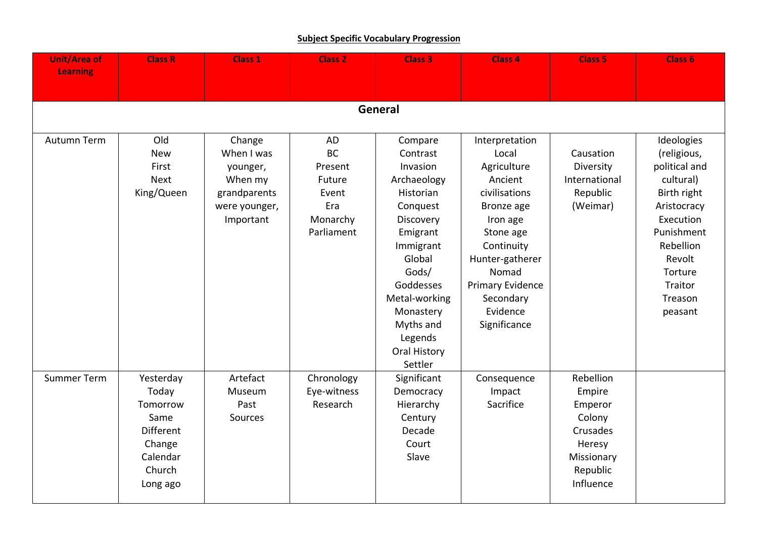## **Subject Specific Vocabulary Progression**

| <b>Unit/Area of</b><br>Learning | <b>Class R</b>                                                                                  | Class 1                                                                                   | <b>Class 2</b>                                                                        | <b>Class 3</b>                                                                                                                                                                                      | Class <sub>4</sub>                                                                                                                                                                                                      | <b>Class 5</b>                                                                                        | <b>Class 6</b>                                                                                                                                                                      |
|---------------------------------|-------------------------------------------------------------------------------------------------|-------------------------------------------------------------------------------------------|---------------------------------------------------------------------------------------|-----------------------------------------------------------------------------------------------------------------------------------------------------------------------------------------------------|-------------------------------------------------------------------------------------------------------------------------------------------------------------------------------------------------------------------------|-------------------------------------------------------------------------------------------------------|-------------------------------------------------------------------------------------------------------------------------------------------------------------------------------------|
|                                 |                                                                                                 |                                                                                           |                                                                                       |                                                                                                                                                                                                     |                                                                                                                                                                                                                         |                                                                                                       |                                                                                                                                                                                     |
|                                 |                                                                                                 |                                                                                           |                                                                                       |                                                                                                                                                                                                     |                                                                                                                                                                                                                         |                                                                                                       |                                                                                                                                                                                     |
| General                         |                                                                                                 |                                                                                           |                                                                                       |                                                                                                                                                                                                     |                                                                                                                                                                                                                         |                                                                                                       |                                                                                                                                                                                     |
| Autumn Term                     | Old<br><b>New</b><br>First<br><b>Next</b><br>King/Queen                                         | Change<br>When I was<br>younger,<br>When my<br>grandparents<br>were younger,<br>Important | <b>AD</b><br><b>BC</b><br>Present<br>Future<br>Event<br>Era<br>Monarchy<br>Parliament | Compare<br>Contrast<br>Invasion<br>Archaeology<br>Historian<br>Conquest<br>Discovery<br>Emigrant<br>Immigrant<br>Global<br>Gods/<br>Goddesses<br>Metal-working<br>Monastery<br>Myths and<br>Legends | Interpretation<br>Local<br>Agriculture<br>Ancient<br>civilisations<br>Bronze age<br>Iron age<br>Stone age<br>Continuity<br>Hunter-gatherer<br>Nomad<br><b>Primary Evidence</b><br>Secondary<br>Evidence<br>Significance | Causation<br>Diversity<br>International<br>Republic<br>(Weimar)                                       | Ideologies<br>(religious,<br>political and<br>cultural)<br>Birth right<br>Aristocracy<br>Execution<br>Punishment<br>Rebellion<br>Revolt<br>Torture<br>Traitor<br>Treason<br>peasant |
|                                 |                                                                                                 |                                                                                           |                                                                                       | Oral History<br>Settler                                                                                                                                                                             |                                                                                                                                                                                                                         |                                                                                                       |                                                                                                                                                                                     |
| <b>Summer Term</b>              | Yesterday<br>Today<br>Tomorrow<br>Same<br>Different<br>Change<br>Calendar<br>Church<br>Long ago | Artefact<br>Museum<br>Past<br>Sources                                                     | Chronology<br>Eye-witness<br>Research                                                 | Significant<br>Democracy<br>Hierarchy<br>Century<br>Decade<br>Court<br>Slave                                                                                                                        | Consequence<br>Impact<br>Sacrifice                                                                                                                                                                                      | Rebellion<br>Empire<br>Emperor<br>Colony<br>Crusades<br>Heresy<br>Missionary<br>Republic<br>Influence |                                                                                                                                                                                     |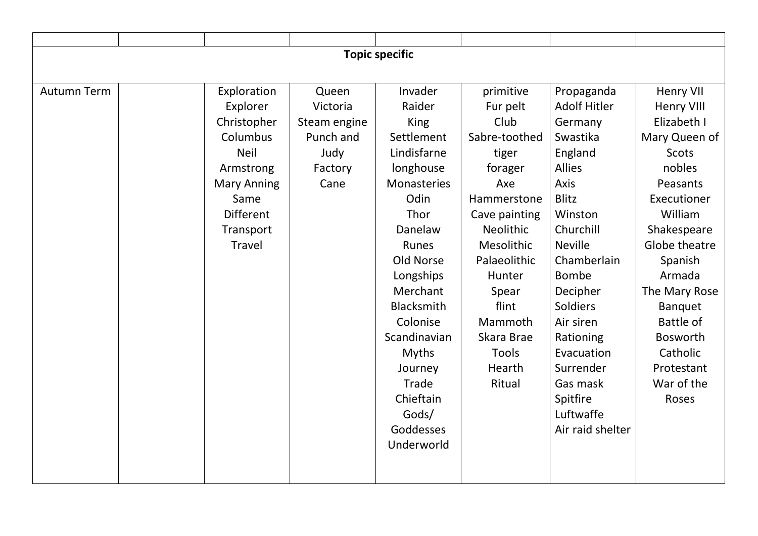| <b>Topic specific</b> |  |                    |              |                    |                  |                     |                   |
|-----------------------|--|--------------------|--------------|--------------------|------------------|---------------------|-------------------|
|                       |  |                    |              |                    |                  |                     |                   |
| <b>Autumn Term</b>    |  | Exploration        | Queen        | Invader            | primitive        | Propaganda          | <b>Henry VII</b>  |
|                       |  | Explorer           | Victoria     | Raider             | Fur pelt         | <b>Adolf Hitler</b> | <b>Henry VIII</b> |
|                       |  | Christopher        | Steam engine | King               | Club             | Germany             | Elizabeth I       |
|                       |  | Columbus           | Punch and    | Settlement         | Sabre-toothed    | Swastika            | Mary Queen of     |
|                       |  | <b>Neil</b>        | Judy         | Lindisfarne        | tiger            | England             | <b>Scots</b>      |
|                       |  | Armstrong          | Factory      | longhouse          | forager          | <b>Allies</b>       | nobles            |
|                       |  | <b>Mary Anning</b> | Cane         | <b>Monasteries</b> | Axe              | Axis                | Peasants          |
|                       |  | Same               |              | Odin               | Hammerstone      | <b>Blitz</b>        | Executioner       |
|                       |  | <b>Different</b>   |              | Thor               | Cave painting    | Winston             | William           |
|                       |  | Transport          |              | Danelaw            | <b>Neolithic</b> | Churchill           | Shakespeare       |
|                       |  | <b>Travel</b>      |              | <b>Runes</b>       | Mesolithic       | <b>Neville</b>      | Globe theatre     |
|                       |  |                    |              | Old Norse          | Palaeolithic     | Chamberlain         | Spanish           |
|                       |  |                    |              | Longships          | Hunter           | <b>Bombe</b>        | Armada            |
|                       |  |                    |              | Merchant           | Spear            | Decipher            | The Mary Rose     |
|                       |  |                    |              | Blacksmith         | flint            | <b>Soldiers</b>     | <b>Banquet</b>    |
|                       |  |                    |              | Colonise           | Mammoth          | Air siren           | <b>Battle of</b>  |
|                       |  |                    |              | Scandinavian       | Skara Brae       | Rationing           | <b>Bosworth</b>   |
|                       |  |                    |              | <b>Myths</b>       | <b>Tools</b>     | Evacuation          | Catholic          |
|                       |  |                    |              | Journey            | Hearth           | Surrender           | Protestant        |
|                       |  |                    |              | Trade              | Ritual           | Gas mask            | War of the        |
|                       |  |                    |              | Chieftain          |                  | Spitfire            | Roses             |
|                       |  |                    |              | Gods/              |                  | Luftwaffe           |                   |
|                       |  |                    |              | Goddesses          |                  | Air raid shelter    |                   |
|                       |  |                    |              | Underworld         |                  |                     |                   |
|                       |  |                    |              |                    |                  |                     |                   |
|                       |  |                    |              |                    |                  |                     |                   |